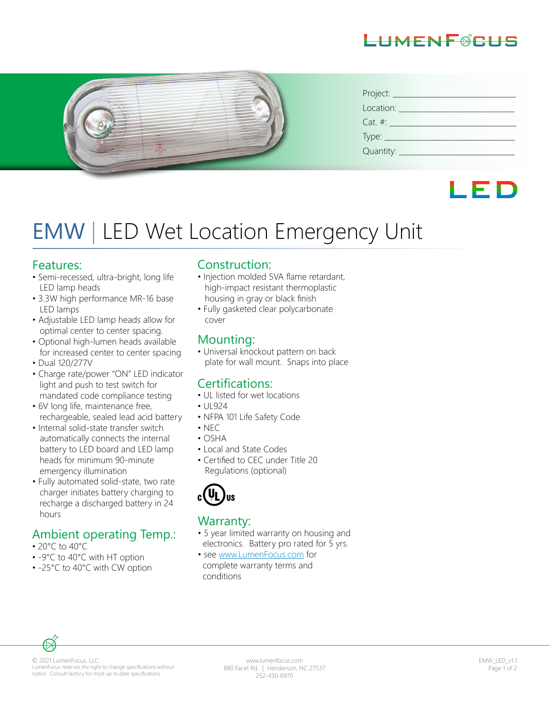



| Project:       |
|----------------|
| Location:      |
| $Cat. \#:$     |
|                |
| Quantity: ____ |

# LED

# EMW | LED Wet Location Emergency Unit

#### Features:

- Semi-recessed, ultra-bright, long life LED lamp heads
- 3.3W high performance MR-16 base LED lamps
- Adjustable LED lamp heads allow for optimal center to center spacing.
- Optional high-lumen heads available for increased center to center spacing
- Dual 120/277V
- Charge rate/power "ON" LED indicator light and push to test switch for mandated code compliance testing
- 6V long life, maintenance free, rechargeable, sealed lead acid battery
- Internal solid-state transfer switch automatically connects the internal battery to LED board and LED lamp heads for minimum 90-minute emergency illumination
- Fully automated solid-state, two rate charger initiates battery charging to recharge a discharged battery in 24 hours

## Ambient operating Temp.:

- 20°C to 40°C
- -9°C to 40°C with HT option
- -25°C to 40°C with CW option

#### Construction:

- Injection molded 5VA flame retardant, high-impact resistant thermoplastic housing in gray or black finish
- Fully gasketed clear polycarbonate cover

### Mounting:

• Universal knockout pattern on back plate for wall mount. Snaps into place

## Certifications:

- UL listed for wet locations
- $•$   $||$  924
- NFPA 101 Life Safety Code
- $\cdot$  NFC
- OSHA
- Local and State Codes
- Certified to CEC under Title 20 Regulations (optional)



### Warranty:

- 5 year limited warranty on housing and electronics. Battery pro rated for 5 yrs.
- see www.LumenFocus.com for complete warranty terms and conditions



© 2021 LumenFocus, LLC. LumenFocus reserves the right to change specifications without notice. Consult factory for most up to date specifications.

www.lumenfocus.com 880 Facet Rd. | Henderson, NC 27537 252-430-6970

EMW\_LED\_v1.1 Page 1 of 2